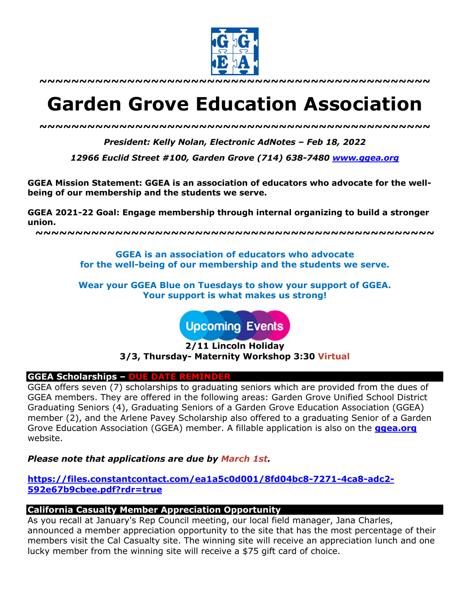

**~~~~~~~~~~~~~~~~~~~~~~~~~~~~~~~~~~~~~~~~~~~~~~~~~**

# **Garden Grove Education Association**

*~~~~~~~~~~~~~~~~~~~~~~~~~~~~~~~~~~~~~~~~~~~~~~~~~*

*President: Kelly Nolan, Electronic AdNotes – Feb 18, 2022*

*12966 Euclid Street #100, Garden Grove (714) 638-7480 www.ggea.org*

**GGEA Mission Statement: GGEA is an association of educators who advocate for the wellbeing of our membership and the students we serve.** 

**GGEA 2021-22 Goal: Engage membership through internal organizing to build a stronger union.**

**~~~~~~~~~~~~~~~~~~~~~~~~~~~~~~~~~~~~~~~~~~~~~~~~~~**

**GGEA is an association of educators who advocate for the well-being of our membership and the students we serve.**

**Wear your GGEA Blue on Tuesdays to show your support of GGEA. Your support is what makes us strong!**

**Upcoming Events** 

**2/11 Lincoln Holiday 3/3, Thursday- Maternity Workshop 3:30 Virtual**

## **GGEA Scholarships – DUE DATE REMINDER**

GGEA offers seven (7) scholarships to graduating seniors which are provided from the dues of GGEA members. They are offered in the following areas: Garden Grove Unified School District Graduating Seniors (4), Graduating Seniors of a Garden Grove Education Association (GGEA) member (2), and the Arlene Pavey Scholarship also offered to a graduating Senior of a Garden Grove Education Association (GGEA) member. A fillable application is also on the **ggea.org** website.

*Please note that applications are due by March 1st.*

**https://files.constantcontact.com/ea1a5c0d001/8fd04bc8-7271-4ca8-adc2- 592e67b9cbee.pdf?rdr=true**

# **California Casualty Member Appreciation Opportunity**

As you recall at January's Rep Council meeting, our local field manager, Jana Charles, announced a member appreciation opportunity to the site that has the most percentage of their members visit the Cal Casualty site. The winning site will receive an appreciation lunch and one lucky member from the winning site will receive a \$75 gift card of choice.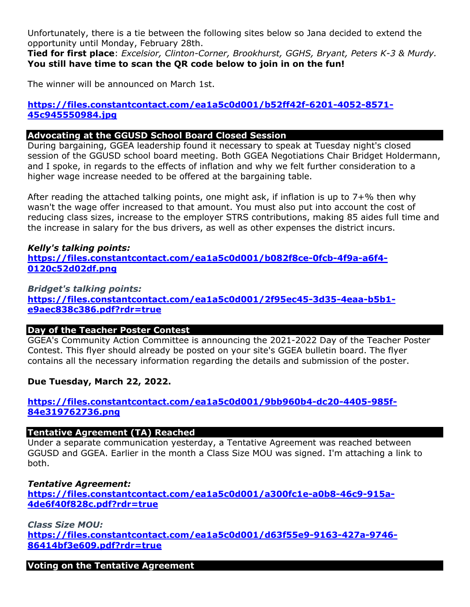Unfortunately, there is a tie between the following sites below so Jana decided to extend the opportunity until Monday, February 28th.

**Tied for first place**: *Excelsior, Clinton-Corner, Brookhurst, GGHS, Bryant, Peters K-3 & Murdy.* **You still have time to scan the QR code below to join in on the fun!**

The winner will be announced on March 1st.

# **https://files.constantcontact.com/ea1a5c0d001/b52ff42f-6201-4052-8571- 45c945550984.jpg**

# **Advocating at the GGUSD School Board Closed Session**

During bargaining, GGEA leadership found it necessary to speak at Tuesday night's closed session of the GGUSD school board meeting. Both GGEA Negotiations Chair Bridget Holdermann, and I spoke, in regards to the effects of inflation and why we felt further consideration to a higher wage increase needed to be offered at the bargaining table.

After reading the attached talking points, one might ask, if inflation is up to 7+% then why wasn't the wage offer increased to that amount. You must also put into account the cost of reducing class sizes, increase to the employer STRS contributions, making 85 aides full time and the increase in salary for the bus drivers, as well as other expenses the district incurs.

# *Kelly's talking points:* **https://files.constantcontact.com/ea1a5c0d001/b082f8ce-0fcb-4f9a-a6f4- 0120c52d02df.png**

*Bridget's talking points:* **https://files.constantcontact.com/ea1a5c0d001/2f95ec45-3d35-4eaa-b5b1 e9aec838c386.pdf?rdr=true**

# **Day of the Teacher Poster Contest**

GGEA's Community Action Committee is announcing the 2021-2022 Day of the Teacher Poster Contest. This flyer should already be posted on your site's GGEA bulletin board. The flyer contains all the necessary information regarding the details and submission of the poster.

# **Due Tuesday, March 22, 2022.**

# **https://files.constantcontact.com/ea1a5c0d001/9bb960b4-dc20-4405-985f-84e319762736.png**

## **Tentative Agreement (TA) Reached**

Under a separate communication yesterday, a Tentative Agreement was reached between GGUSD and GGEA. Earlier in the month a Class Size MOU was signed. I'm attaching a link to both.

## *Tentative Agreement:*

**https://files.constantcontact.com/ea1a5c0d001/a300fc1e-a0b8-46c9-915a-4de6f40f828c.pdf?rdr=true**

*Class Size MOU:* **https://files.constantcontact.com/ea1a5c0d001/d63f55e9-9163-427a-9746- 86414bf3e609.pdf?rdr=true**

**Voting on the Tentative Agreement**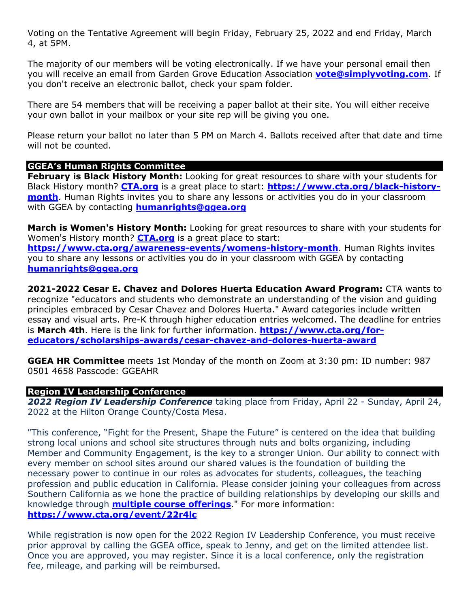Voting on the Tentative Agreement will begin Friday, February 25, 2022 and end Friday, March 4, at 5PM.

The majority of our members will be voting electronically. If we have your personal email then you will receive an email from Garden Grove Education Association **vote@simplyvoting.com**. If you don't receive an electronic ballot, check your spam folder.

There are 54 members that will be receiving a paper ballot at their site. You will either receive your own ballot in your mailbox or your site rep will be giving you one.

Please return your ballot no later than 5 PM on March 4. Ballots received after that date and time will not be counted.

# **GGEA's Human Rights Committee**

**February is Black History Month:** Looking for great resources to share with your students for Black History month? **CTA.org** is a great place to start: **https://www.cta.org/black-historymonth**. Human Rights invites you to share any lessons or activities you do in your classroom with GGEA by contacting **humanrights@ggea.org**

**March is Women's History Month:** Looking for great resources to share with your students for Women's History month? **CTA.org** is a great place to start:

**https://www.cta.org/awareness-events/womens-history-month**. Human Rights invites you to share any lessons or activities you do in your classroom with GGEA by contacting **humanrights@ggea.org**

**2021-2022 Cesar E. Chavez and Dolores Huerta Education Award Program:** CTA wants to recognize "educators and students who demonstrate an understanding of the vision and guiding principles embraced by Cesar Chavez and Dolores Huerta." Award categories include written essay and visual arts. Pre-K through higher education entries welcomed. The deadline for entries is **March 4th**. Here is the link for further information. **https://www.cta.org/foreducators/scholarships-awards/cesar-chavez-and-dolores-huerta-award**

**GGEA HR Committee** meets 1st Monday of the month on Zoom at 3:30 pm: ID number: 987 0501 4658 Passcode: GGEAHR

## **Region IV Leadership Conference**

*2022 Region IV Leadership Conference* taking place from Friday, April 22 - Sunday, April 24, 2022 at the Hilton Orange County/Costa Mesa.

"This conference, "Fight for the Present, Shape the Future" is centered on the idea that building strong local unions and school site structures through nuts and bolts organizing, including Member and Community Engagement, is the key to a stronger Union. Our ability to connect with every member on school sites around our shared values is the foundation of building the necessary power to continue in our roles as advocates for students, colleagues, the teaching profession and public education in California. Please consider joining your colleagues from across Southern California as we hone the practice of building relationships by developing our skills and knowledge through **multiple course offerings**." For more information: **https://www.cta.org/event/22r4lc**

While registration is now open for the 2022 Region IV Leadership Conference, you must receive prior approval by calling the GGEA office, speak to Jenny, and get on the limited attendee list. Once you are approved, you may register. Since it is a local conference, only the registration fee, mileage, and parking will be reimbursed.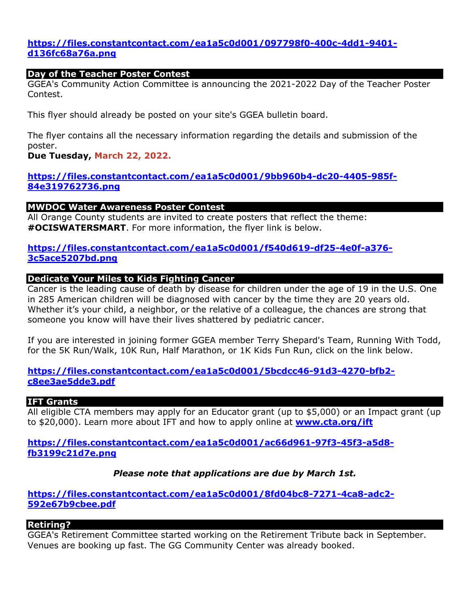# **https://files.constantcontact.com/ea1a5c0d001/097798f0-400c-4dd1-9401 d136fc68a76a.png**

#### **Day of the Teacher Poster Contest**

GGEA's Community Action Committee is announcing the 2021-2022 Day of the Teacher Poster Contest.

This flyer should already be posted on your site's GGEA bulletin board.

The flyer contains all the necessary information regarding the details and submission of the poster.

#### **Due Tuesday, March 22, 2022.**

# **https://files.constantcontact.com/ea1a5c0d001/9bb960b4-dc20-4405-985f-84e319762736.png**

#### **MWDOC Water Awareness Poster Contest**

All Orange County students are invited to create posters that reflect the theme: **#OCISWATERSMART**. For more information, the flyer link is below.

# **https://files.constantcontact.com/ea1a5c0d001/f540d619-df25-4e0f-a376- 3c5ace5207bd.png**

#### **Dedicate Your Miles to Kids Fighting Cancer**

Cancer is the leading cause of death by disease for children under the age of 19 in the U.S. One in 285 American children will be diagnosed with cancer by the time they are 20 years old. Whether it's your child, a neighbor, or the relative of a colleague, the chances are strong that someone you know will have their lives shattered by pediatric cancer.

If you are interested in joining former GGEA member Terry Shepard's Team, Running With Todd, for the 5K Run/Walk, 10K Run, Half Marathon, or 1K Kids Fun Run, click on the link below.

# **https://files.constantcontact.com/ea1a5c0d001/5bcdcc46-91d3-4270-bfb2 c8ee3ae5dde3.pdf**

## **IFT Grants**

All eligible CTA members may apply for an Educator grant (up to \$5,000) or an Impact grant (up to \$20,000). Learn more about IFT and how to apply online at **www.cta.org/ift**

**https://files.constantcontact.com/ea1a5c0d001/ac66d961-97f3-45f3-a5d8 fb3199c21d7e.png**

## *Please note that applications are due by March 1st.*

**https://files.constantcontact.com/ea1a5c0d001/8fd04bc8-7271-4ca8-adc2- 592e67b9cbee.pdf**

## **Retiring?**

GGEA's Retirement Committee started working on the Retirement Tribute back in September. Venues are booking up fast. The GG Community Center was already booked.